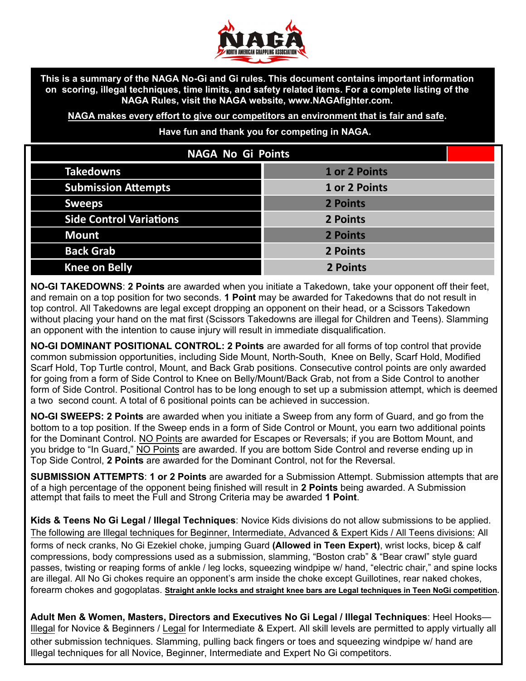

**This is a summary of the NAGA No-Gi and Gi rules. This document contains important information on scoring, illegal techniques, time limits, and safety related items. For a complete listing of the NAGA Rules, visit the NAGA website, www.NAGAfighter.com.**

**NAGA makes every effort to give our competitors an environment that is fair and safe.** 

**Have fun and thank you for competing in NAGA.**

| <b>NAGA No Gi Points</b>       |               |
|--------------------------------|---------------|
| <b>Takedowns</b>               | 1 or 2 Points |
| <b>Submission Attempts</b>     | 1 or 2 Points |
| <b>Sweeps</b>                  | 2 Points      |
| <b>Side Control Variations</b> | 2 Points      |
| <b>Mount</b>                   | 2 Points      |
| <b>Back Grab</b>               | 2 Points      |
| <b>Knee on Belly</b>           | 2 Points      |

**NO-GI TAKEDOWNS**: **2 Points** are awarded when you initiate a Takedown, take your opponent off their feet, and remain on a top position for two seconds. **1 Point** may be awarded for Takedowns that do not result in top control. All Takedowns are legal except dropping an opponent on their head, or a Scissors Takedown without placing your hand on the mat first (Scissors Takedowns are illegal for Children and Teens). Slamming an opponent with the intention to cause injury will result in immediate disqualification.

**NO-GI DOMINANT POSITIONAL CONTROL: 2 Points** are awarded for all forms of top control that provide common submission opportunities, including Side Mount, North-South, Knee on Belly, Scarf Hold, Modified Scarf Hold, Top Turtle control, Mount, and Back Grab positions. Consecutive control points are only awarded for going from a form of Side Control to Knee on Belly/Mount/Back Grab, not from a Side Control to another form of Side Control. Positional Control has to be long enough to set up a submission attempt, which is deemed a two second count. A total of 6 positional points can be achieved in succession.

**NO-GI SWEEPS: 2 Points** are awarded when you initiate a Sweep from any form of Guard, and go from the bottom to a top position. If the Sweep ends in a form of Side Control or Mount, you earn two additional points for the Dominant Control. NO Points are awarded for Escapes or Reversals; if you are Bottom Mount, and you bridge to "In Guard," NO Points are awarded. If you are bottom Side Control and reverse ending up in Top Side Control, **2 Points** are awarded for the Dominant Control, not for the Reversal.

**SUBMISSION ATTEMPTS**: **1 or 2 Points** are awarded for a Submission Attempt. Submission attempts that are of a high percentage of the opponent being finished will result in **2 Points** being awarded. A Submission attempt that fails to meet the Full and Strong Criteria may be awarded **1 Point**.

**Kids & Teens No Gi Legal / Illegal Techniques**: Novice Kids divisions do not allow submissions to be applied. The following are Illegal techniques for Beginner, Intermediate, Advanced & Expert Kids / All Teens divisions: All forms of neck cranks, No Gi Ezekiel choke, jumping Guard **(Allowed in Teen Expert)**, wrist locks, bicep & calf compressions, body compressions used as a submission, slamming, "Boston crab" & "Bear crawl" style guard passes, twisting or reaping forms of ankle / leg locks, squeezing windpipe w/ hand, "electric chair," and spine locks are illegal. All No Gi chokes require an opponent's arm inside the choke except Guillotines, rear naked chokes, forearm chokes and gogoplatas. **Straight ankle locks and straight knee bars are Legal techniques in Teen NoGi competition.** 

**Adult Men & Women, Masters, Directors and Executives No Gi Legal / Illegal Techniques**: Heel Hooks— Illegal for Novice & Beginners / Legal for Intermediate & Expert. All skill levels are permitted to apply virtually all other submission techniques. Slamming, pulling back fingers or toes and squeezing windpipe w/ hand are Illegal techniques for all Novice, Beginner, Intermediate and Expert No Gi competitors.